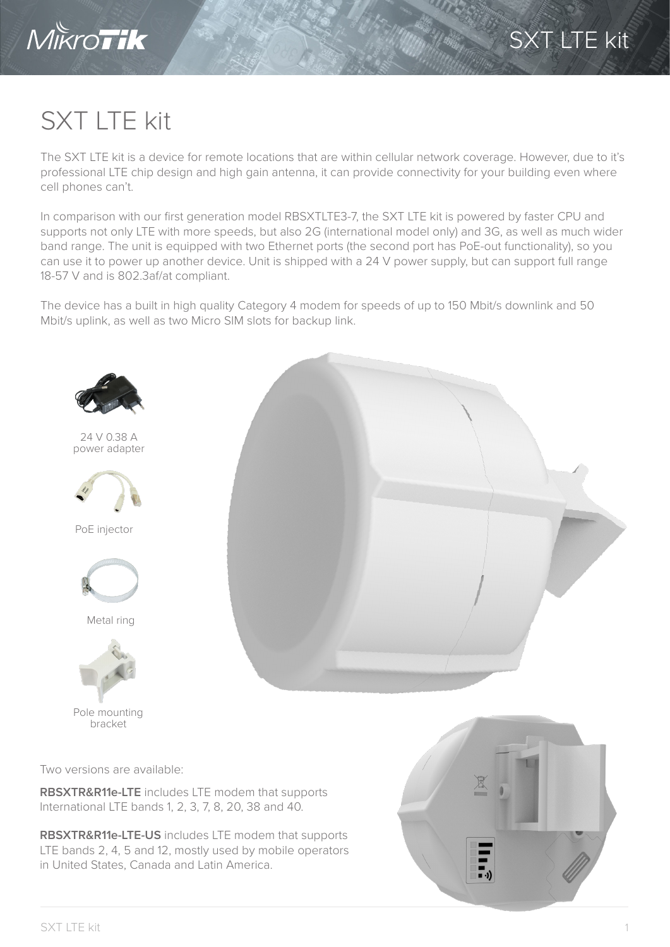

## SXT LTE kit

The SXT LTE kit is a device for remote locations that are within cellular network coverage. However, due to it's professional LTE chip design and high gain antenna, it can provide connectivity for your building even where cell phones can't.

In comparison with our first generation model RBSXTLTE3-7, the SXT LTE kit is powered by faster CPU and supports not only LTE with more speeds, but also 2G (international model only) and 3G, as well as much wider band range. The unit is equipped with two Ethernet ports (the second port has PoE-out functionality), so you can use it to power up another device. Unit is shipped with a 24 V power supply, but can support full range 18-57 V and is 802.3af/at compliant.

The device has a built in high quality Category 4 modem for speeds of up to 150 Mbit/s downlink and 50 Mbit/s uplink, as well as two Micro SIM slots for backup link.



Two versions are available:

**RBSXTR&R11e-LTE** includes LTE modem that supports International LTE bands 1, 2, 3, 7, 8, 20, 38 and 40.

**RBSXTR&R11e-LTE-US** includes LTE modem that supports LTE bands 2, 4, 5 and 12, mostly used by mobile operators in United States, Canada and Latin America.